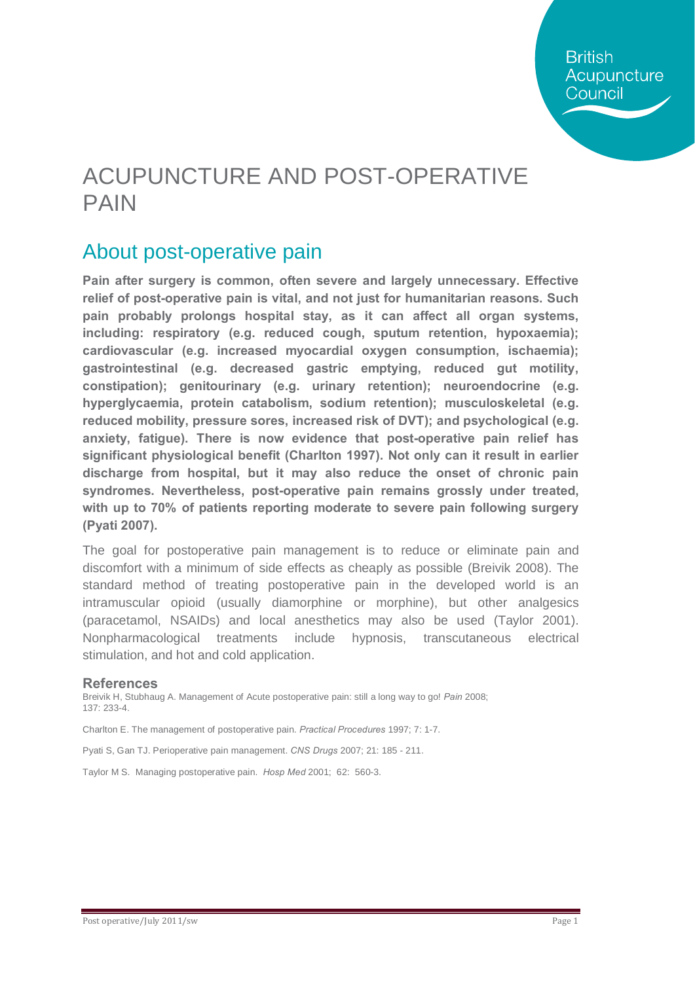## ACUPUNCTURE AND POST-OPERATIVE PAIN

### About post-operative pain

**Pain after surgery is common, often severe and largely unnecessary. Effective relief of post-operative pain is vital, and not just for humanitarian reasons. Such pain probably prolongs hospital stay, as it can affect all organ systems, including: respiratory (e.g. reduced cough, sputum retention, hypoxaemia); cardiovascular (e.g. increased myocardial oxygen consumption, ischaemia); gastrointestinal (e.g. decreased gastric emptying, reduced gut motility, constipation); genitourinary (e.g. urinary retention); neuroendocrine (e.g. hyperglycaemia, protein catabolism, sodium retention); musculoskeletal (e.g. reduced mobility, pressure sores, increased risk of DVT); and psychological (e.g. anxiety, fatigue). There is now evidence that post-operative pain relief has significant physiological benefit (Charlton 1997). Not only can it result in earlier discharge from hospital, but it may also reduce the onset of chronic pain syndromes. Nevertheless, post-operative pain remains grossly under treated, with up to 70% of patients reporting moderate to severe pain following surgery (Pyati 2007).** 

The goal for postoperative pain management is to reduce or eliminate pain and discomfort with a minimum of side effects as cheaply as possible (Breivik 2008). The standard method of treating postoperative pain in the developed world is an intramuscular opioid (usually diamorphine or morphine), but other analgesics (paracetamol, NSAIDs) and local anesthetics may also be used (Taylor 2001). Nonpharmacological treatments include hypnosis, transcutaneous electrical stimulation, and hot and cold application.

#### **References**

Breivik H, Stubhaug A. Management of Acute postoperative pain: still a long way to go! *Pain* 2008; 137: 233-4.

Charlton E. The management of postoperative pain. *Practical Procedures* 1997; 7: 1-7.

Pyati S, Gan TJ. Perioperative pain management. *CNS Drugs* 2007; 21: 185 - 211.

Taylor M S. Managing postoperative pain. *Hosp Med* 2001; 62: 560-3.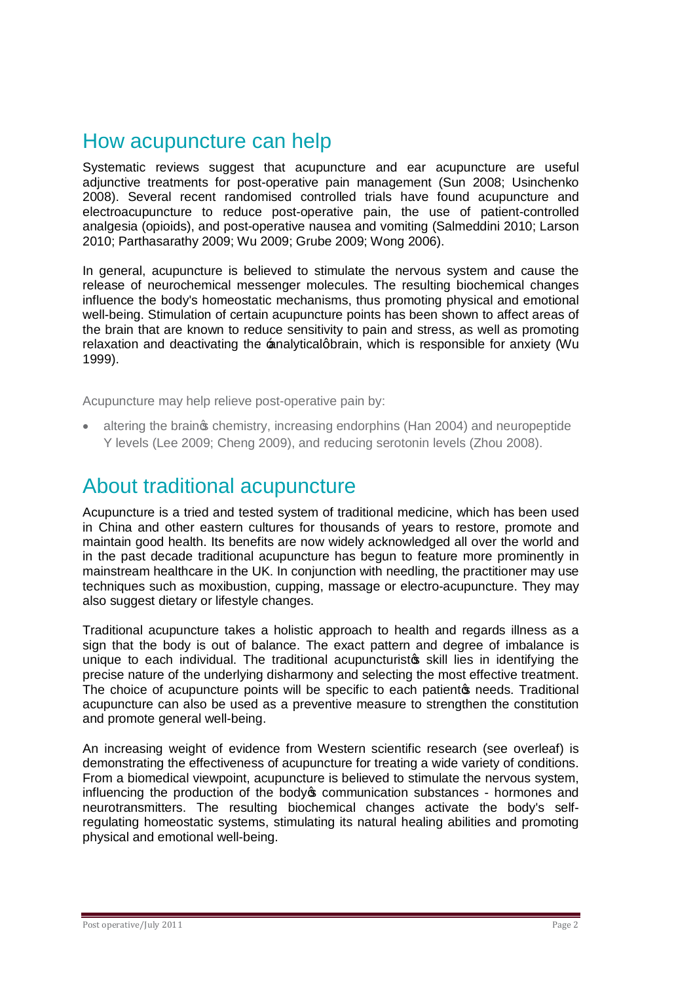### How acupuncture can help

Systematic reviews suggest that acupuncture and ear acupuncture are useful adjunctive treatments for post-operative pain management (Sun 2008; Usinchenko 2008). Several recent randomised controlled trials have found acupuncture and electroacupuncture to reduce post-operative pain, the use of patient-controlled analgesia (opioids), and post-operative nausea and vomiting (Salmeddini 2010; Larson 2010; Parthasarathy 2009; Wu 2009; Grube 2009; Wong 2006).

In general, acupuncture is believed to stimulate the nervous system and cause the release of neurochemical messenger molecules. The resulting biochemical changes influence the body's homeostatic mechanisms, thus promoting physical and emotional well-being. Stimulation of certain acupuncture points has been shown to affect areas of the brain that are known to reduce sensitivity to pain and stress, as well as promoting relaxation and deactivating the analyticalgbrain, which is responsible for anxiety (Wu 1999).

Acupuncture may help relieve post-operative pain by:

altering the braing chemistry, increasing endorphins (Han 2004) and neuropeptide Y levels (Lee 2009; Cheng 2009), and reducing serotonin levels (Zhou 2008).

### About traditional acupuncture

Acupuncture is a tried and tested system of traditional medicine, which has been used in China and other eastern cultures for thousands of years to restore, promote and maintain good health. Its benefits are now widely acknowledged all over the world and in the past decade traditional acupuncture has begun to feature more prominently in mainstream healthcare in the UK. In conjunction with needling, the practitioner may use techniques such as moxibustion, cupping, massage or electro-acupuncture. They may also suggest dietary or lifestyle changes.

Traditional acupuncture takes a holistic approach to health and regards illness as a sign that the body is out of balance. The exact pattern and degree of imbalance is unique to each individual. The traditional acupuncturistos skill lies in identifying the precise nature of the underlying disharmony and selecting the most effective treatment. The choice of acupuncture points will be specific to each patientom needs. Traditional acupuncture can also be used as a preventive measure to strengthen the constitution and promote general well-being.

An increasing weight of evidence from Western scientific research (see overleaf) is demonstrating the effectiveness of acupuncture for treating a wide variety of conditions. From a biomedical viewpoint, acupuncture is believed to stimulate the nervous system, influencing the production of the body  $\infty$  communication substances - hormones and neurotransmitters. The resulting biochemical changes activate the body's selfregulating homeostatic systems, stimulating its natural healing abilities and promoting physical and emotional well-being.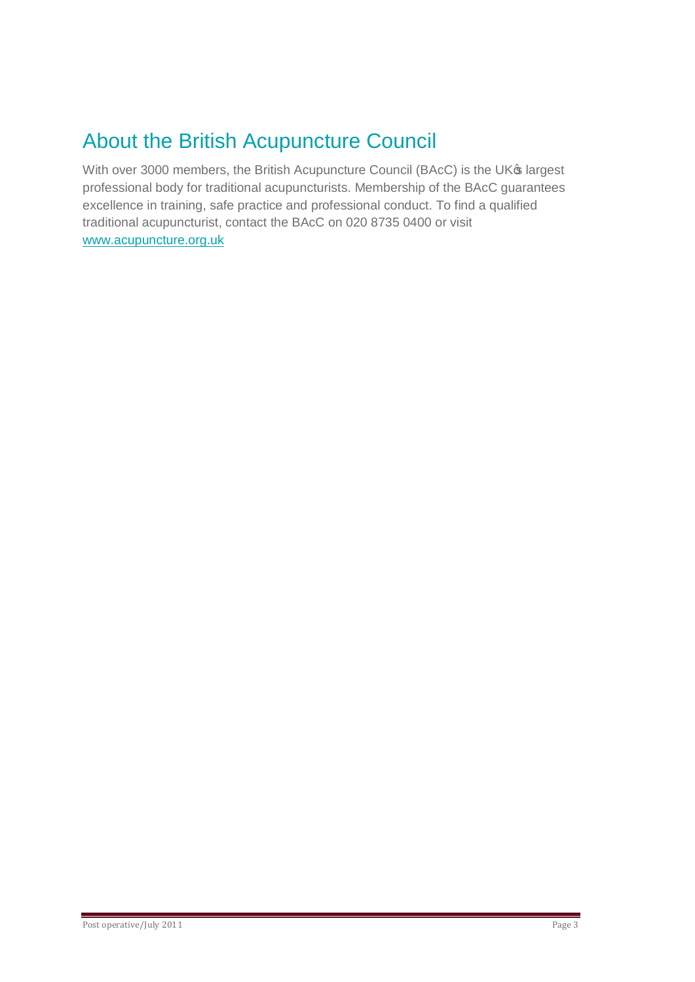## About the British Acupuncture Council

With over 3000 members, the British Acupuncture Council (BAcC) is the UK® largest professional body for traditional acupuncturists. Membership of the BAcC guarantees excellence in training, safe practice and professional conduct. To find a qualified traditional acupuncturist, contact the BAcC on 020 8735 0400 or visit [www.acupuncture.org.uk](http://www.acupuncture.org.uk/)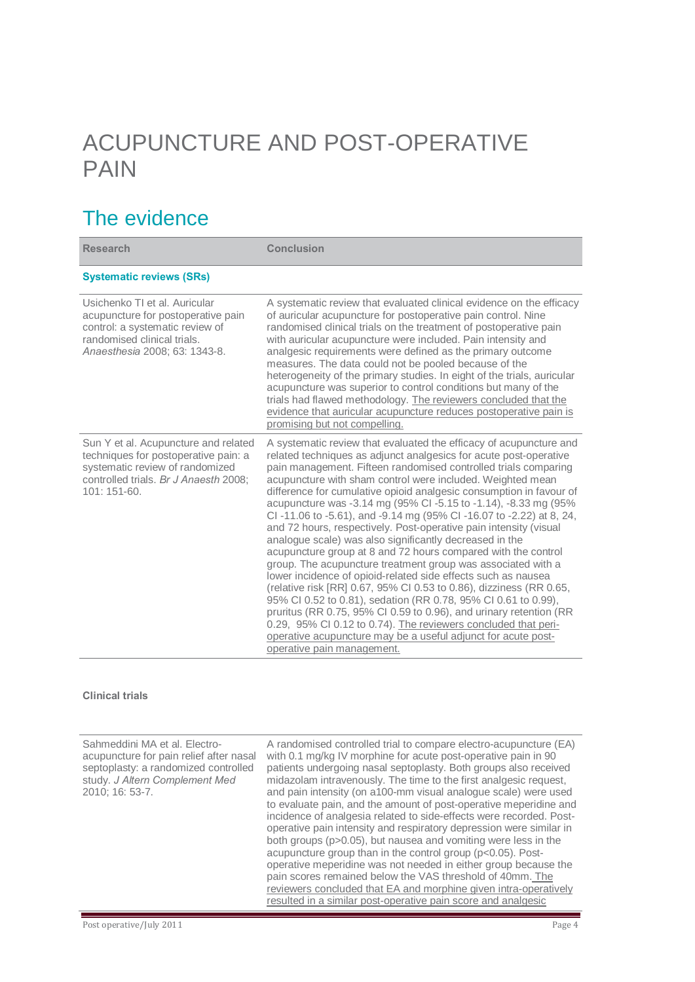# ACUPUNCTURE AND POST-OPERATIVE PAIN

## The evidence

| <b>Research</b>                                                                                                                                                           | <b>Conclusion</b>                                                                                                                                                                                                                                                                                                                                                                                                                                                                                                                                                                                                                                                                                                                                                                                                                                                                                                                                                                                                                                                                                                                                                                                          |
|---------------------------------------------------------------------------------------------------------------------------------------------------------------------------|------------------------------------------------------------------------------------------------------------------------------------------------------------------------------------------------------------------------------------------------------------------------------------------------------------------------------------------------------------------------------------------------------------------------------------------------------------------------------------------------------------------------------------------------------------------------------------------------------------------------------------------------------------------------------------------------------------------------------------------------------------------------------------------------------------------------------------------------------------------------------------------------------------------------------------------------------------------------------------------------------------------------------------------------------------------------------------------------------------------------------------------------------------------------------------------------------------|
| <b>Systematic reviews (SRs)</b>                                                                                                                                           |                                                                                                                                                                                                                                                                                                                                                                                                                                                                                                                                                                                                                                                                                                                                                                                                                                                                                                                                                                                                                                                                                                                                                                                                            |
| Usichenko TI et al. Auricular<br>acupuncture for postoperative pain<br>control: a systematic review of<br>randomised clinical trials.<br>Anaesthesia 2008; 63: 1343-8.    | A systematic review that evaluated clinical evidence on the efficacy<br>of auricular acupuncture for postoperative pain control. Nine<br>randomised clinical trials on the treatment of postoperative pain<br>with auricular acupuncture were included. Pain intensity and<br>analgesic requirements were defined as the primary outcome<br>measures. The data could not be pooled because of the<br>heterogeneity of the primary studies. In eight of the trials, auricular<br>acupuncture was superior to control conditions but many of the<br>trials had flawed methodology. The reviewers concluded that the<br>evidence that auricular acupuncture reduces postoperative pain is<br>promising but not compelling.                                                                                                                                                                                                                                                                                                                                                                                                                                                                                    |
| Sun Y et al. Acupuncture and related<br>techniques for postoperative pain: a<br>systematic review of randomized<br>controlled trials. Br J Anaesth 2008;<br>$101:151-60.$ | A systematic review that evaluated the efficacy of acupuncture and<br>related techniques as adjunct analgesics for acute post-operative<br>pain management. Fifteen randomised controlled trials comparing<br>acupuncture with sham control were included. Weighted mean<br>difference for cumulative opioid analgesic consumption in favour of<br>acupuncture was -3.14 mg (95% CI -5.15 to -1.14), -8.33 mg (95%<br>CI-11.06 to -5.61), and -9.14 mg (95% CI-16.07 to -2.22) at 8, 24,<br>and 72 hours, respectively. Post-operative pain intensity (visual<br>analogue scale) was also significantly decreased in the<br>acupuncture group at 8 and 72 hours compared with the control<br>group. The acupuncture treatment group was associated with a<br>lower incidence of opioid-related side effects such as nausea<br>(relative risk [RR] 0.67, 95% CI 0.53 to 0.86), dizziness (RR 0.65,<br>95% CI 0.52 to 0.81), sedation (RR 0.78, 95% CI 0.61 to 0.99),<br>pruritus (RR 0.75, 95% CI 0.59 to 0.96), and urinary retention (RR<br>0.29, 95% CI 0.12 to 0.74). The reviewers concluded that peri-<br>operative acupuncture may be a useful adjunct for acute post-<br>operative pain management. |

#### **Clinical trials**

| Sahmeddini MA et al. Electro-<br>acupuncture for pain relief after nasal<br>septoplasty: a randomized controlled<br>study. J Altern Complement Med<br>2010: 16: 53-7. | A randomised controlled trial to compare electro-acupuncture (EA)<br>with 0.1 mg/kg IV morphine for acute post-operative pain in 90<br>patients undergoing nasal septoplasty. Both groups also received<br>midazolam intravenously. The time to the first analgesic request,<br>and pain intensity (on a100-mm visual analogue scale) were used<br>to evaluate pain, and the amount of post-operative meperidine and<br>incidence of analgesia related to side-effects were recorded. Post-<br>operative pain intensity and respiratory depression were similar in<br>both groups (p>0.05), but nausea and vomiting were less in the<br>acupuncture group than in the control group (p<0.05). Post-<br>operative meperidine was not needed in either group because the |
|-----------------------------------------------------------------------------------------------------------------------------------------------------------------------|------------------------------------------------------------------------------------------------------------------------------------------------------------------------------------------------------------------------------------------------------------------------------------------------------------------------------------------------------------------------------------------------------------------------------------------------------------------------------------------------------------------------------------------------------------------------------------------------------------------------------------------------------------------------------------------------------------------------------------------------------------------------|
|                                                                                                                                                                       | pain scores remained below the VAS threshold of 40mm. The                                                                                                                                                                                                                                                                                                                                                                                                                                                                                                                                                                                                                                                                                                              |
|                                                                                                                                                                       | reviewers concluded that EA and morphine given intra-operatively                                                                                                                                                                                                                                                                                                                                                                                                                                                                                                                                                                                                                                                                                                       |
|                                                                                                                                                                       | resulted in a similar post-operative pain score and analgesic                                                                                                                                                                                                                                                                                                                                                                                                                                                                                                                                                                                                                                                                                                          |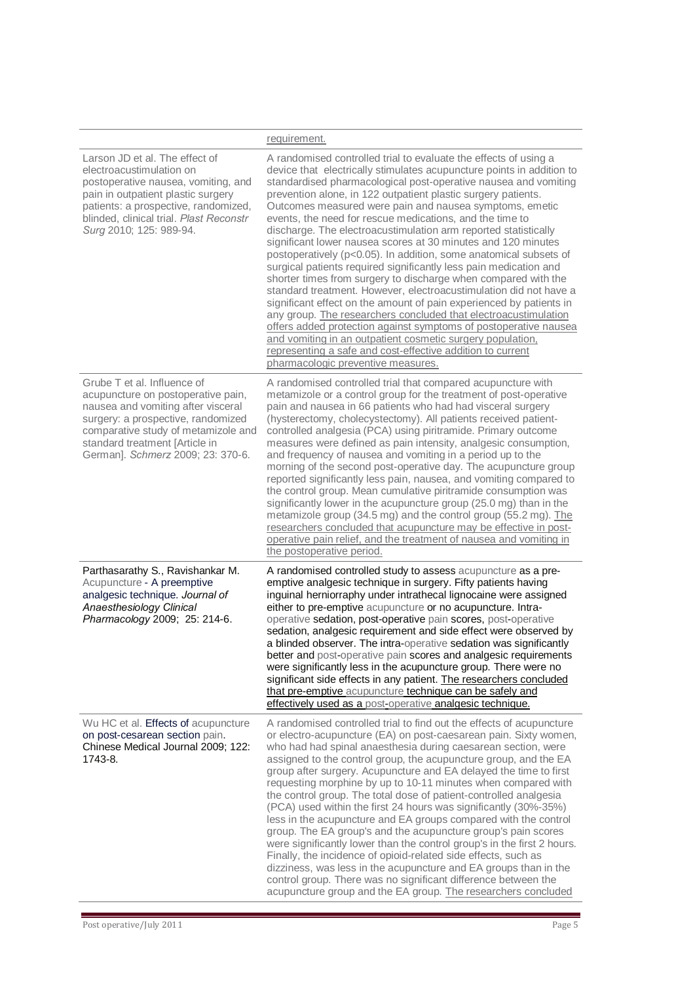|                                                                                                                                                                                                                                                             | requirement.                                                                                                                                                                                                                                                                                                                                                                                                                                                                                                                                                                                                                                                                                                                                                                                                                                                                                                                                                                                                                                                                                                                                                                                              |
|-------------------------------------------------------------------------------------------------------------------------------------------------------------------------------------------------------------------------------------------------------------|-----------------------------------------------------------------------------------------------------------------------------------------------------------------------------------------------------------------------------------------------------------------------------------------------------------------------------------------------------------------------------------------------------------------------------------------------------------------------------------------------------------------------------------------------------------------------------------------------------------------------------------------------------------------------------------------------------------------------------------------------------------------------------------------------------------------------------------------------------------------------------------------------------------------------------------------------------------------------------------------------------------------------------------------------------------------------------------------------------------------------------------------------------------------------------------------------------------|
| Larson JD et al. The effect of<br>electroacustimulation on<br>postoperative nausea, vomiting, and<br>pain in outpatient plastic surgery<br>patients: a prospective, randomized,<br>blinded, clinical trial. Plast Reconstr<br>Surg 2010; 125: 989-94.       | A randomised controlled trial to evaluate the effects of using a<br>device that electrically stimulates acupuncture points in addition to<br>standardised pharmacological post-operative nausea and vomiting<br>prevention alone, in 122 outpatient plastic surgery patients.<br>Outcomes measured were pain and nausea symptoms, emetic<br>events, the need for rescue medications, and the time to<br>discharge. The electroacustimulation arm reported statistically<br>significant lower nausea scores at 30 minutes and 120 minutes<br>postoperatively (p<0.05). In addition, some anatomical subsets of<br>surgical patients required significantly less pain medication and<br>shorter times from surgery to discharge when compared with the<br>standard treatment. However, electroacustimulation did not have a<br>significant effect on the amount of pain experienced by patients in<br>any group. The researchers concluded that electroacustimulation<br>offers added protection against symptoms of postoperative nausea<br>and vomiting in an outpatient cosmetic surgery population.<br>representing a safe and cost-effective addition to current<br>pharmacologic preventive measures. |
| Grube T et al. Influence of<br>acupuncture on postoperative pain,<br>nausea and vomiting after visceral<br>surgery: a prospective, randomized<br>comparative study of metamizole and<br>standard treatment [Article in<br>German]. Schmerz 2009; 23: 370-6. | A randomised controlled trial that compared acupuncture with<br>metamizole or a control group for the treatment of post-operative<br>pain and nausea in 66 patients who had had visceral surgery<br>(hysterectomy, cholecystectomy). All patients received patient-<br>controlled analgesia (PCA) using piritramide. Primary outcome<br>measures were defined as pain intensity, analgesic consumption,<br>and frequency of nausea and vomiting in a period up to the<br>morning of the second post-operative day. The acupuncture group<br>reported significantly less pain, nausea, and vomiting compared to<br>the control group. Mean cumulative piritramide consumption was<br>significantly lower in the acupuncture group (25.0 mg) than in the<br>metamizole group (34.5 mg) and the control group (55.2 mg). The<br>researchers concluded that acupuncture may be effective in post-<br>operative pain relief, and the treatment of nausea and vomiting in<br>the postoperative period.                                                                                                                                                                                                          |
| Parthasarathy S., Ravishankar M.<br>Acupuncture - A preemptive<br>analgesic technique. Journal of<br>Anaesthesiology Clinical<br>Pharmacology 2009; 25: 214-6.                                                                                              | A randomised controlled study to assess acupuncture as a pre-<br>emptive analgesic technique in surgery. Fifty patients having<br>inguinal herniorraphy under intrathecal lignocaine were assigned<br>either to pre-emptive acupuncture or no acupuncture. Intra-<br>operative sedation, post-operative pain scores, post-operative<br>sedation, analgesic requirement and side effect were observed by<br>a blinded observer. The intra-operative sedation was significantly<br>better and post-operative pain scores and analgesic requirements<br>were significantly less in the acupuncture group. There were no<br>significant side effects in any patient. The researchers concluded<br>that pre-emptive acupuncture technique can be safely and<br>effectively used as a post-operative analgesic technique.                                                                                                                                                                                                                                                                                                                                                                                       |
| Wu HC et al. Effects of acupuncture<br>on post-cesarean section pain.<br>Chinese Medical Journal 2009; 122:<br>1743-8.                                                                                                                                      | A randomised controlled trial to find out the effects of acupuncture<br>or electro-acupuncture (EA) on post-caesarean pain. Sixty women,<br>who had had spinal anaesthesia during caesarean section, were<br>assigned to the control group, the acupuncture group, and the EA<br>group after surgery. Acupuncture and EA delayed the time to first<br>requesting morphine by up to 10-11 minutes when compared with<br>the control group. The total dose of patient-controlled analgesia<br>(PCA) used within the first 24 hours was significantly (30%-35%)<br>less in the acupuncture and EA groups compared with the control<br>group. The EA group's and the acupuncture group's pain scores<br>were significantly lower than the control group's in the first 2 hours.<br>Finally, the incidence of opioid-related side effects, such as<br>dizziness, was less in the acupuncture and EA groups than in the<br>control group. There was no significant difference between the<br>acupuncture group and the EA group. The researchers concluded                                                                                                                                                      |